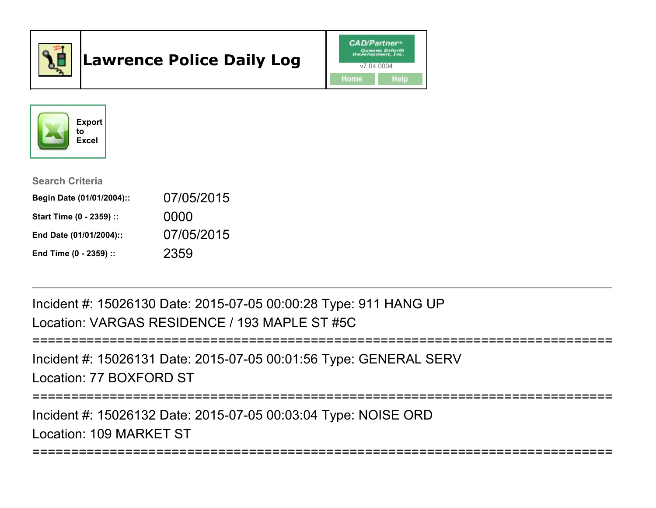

# Lawrence Police Daily Log





#### Search Criteria

| Begin Date (01/01/2004):: | 07/05/2015 |
|---------------------------|------------|
| Start Time (0 - 2359) ::  | 0000       |
| End Date (01/01/2004)::   | 07/05/2015 |
| End Time (0 - 2359) ::    | 2359       |

Incident #: 15026130 Date: 2015-07-05 00:00:28 Type: 911 HANG UPLocation: VARGAS RESIDENCE / 193 MAPLE ST #5C

```
===========================================================================
```
Incident #: 15026131 Date: 2015-07-05 00:01:56 Type: GENERAL SERVLocation: 77 BOXFORD ST

===========================================================================

===========================================================================

Incident #: 15026132 Date: 2015-07-05 00:03:04 Type: NOISE ORDLocation: 109 MARKET ST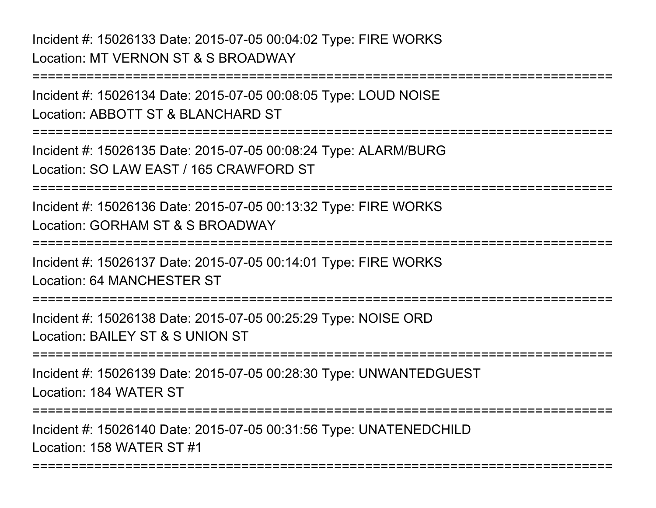# Incident #: 15026133 Date: 2015-07-05 00:04:02 Type: FIRE WORKSLocation: MT VERNON ST & S BROADWAY

Incident #: 15026134 Date: 2015-07-05 00:08:05 Type: LOUD NOISELocation: ABBOTT ST & BLANCHARD ST

===========================================================================

===========================================================================

Incident #: 15026135 Date: 2015-07-05 00:08:24 Type: ALARM/BURGLocation: SO LAW EAST / 165 CRAWFORD ST

===========================================================================

Incident #: 15026136 Date: 2015-07-05 00:13:32 Type: FIRE WORKSLocation: GORHAM ST & S BROADWAY

===========================================================================

Incident #: 15026137 Date: 2015-07-05 00:14:01 Type: FIRE WORKSLocation: 64 MANCHESTER ST

===========================================================================

Incident #: 15026138 Date: 2015-07-05 00:25:29 Type: NOISE ORDLocation: BAILEY ST & S UNION ST

===========================================================================

Incident #: 15026139 Date: 2015-07-05 00:28:30 Type: UNWANTEDGUESTLocation: 184 WATER ST

===========================================================================

===========================================================================

Incident #: 15026140 Date: 2015-07-05 00:31:56 Type: UNATENEDCHILDLocation: 158 WATER ST #1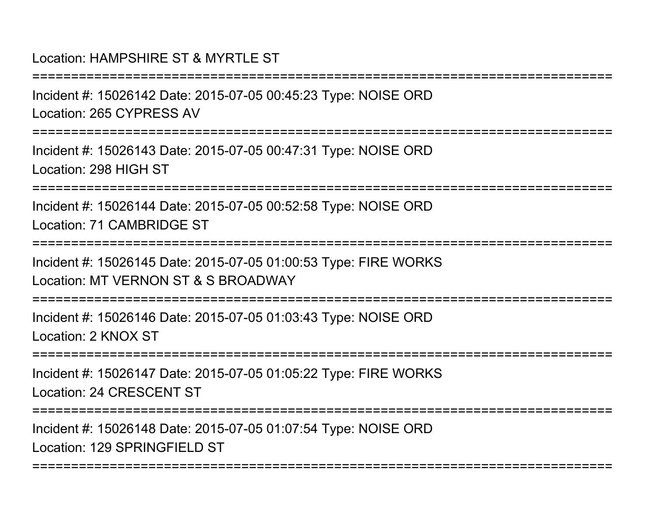# Location: HAMPSHIRF ST & MYRTLE ST

===========================================================================Incident #: 15026142 Date: 2015-07-05 00:45:23 Type: NOISE ORDLocation: 265 CYPRESS AV===========================================================================Incident #: 15026143 Date: 2015-07-05 00:47:31 Type: NOISE ORDLocation: 298 HIGH ST===========================================================================Incident #: 15026144 Date: 2015-07-05 00:52:58 Type: NOISE ORDLocation: 71 CAMBRIDGE ST===========================================================================Incident #: 15026145 Date: 2015-07-05 01:00:53 Type: FIRE WORKSLocation: MT VERNON ST & S BROADWAY===========================================================================Incident #: 15026146 Date: 2015-07-05 01:03:43 Type: NOISE ORDLocation: 2 KNOX ST===========================================================================Incident #: 15026147 Date: 2015-07-05 01:05:22 Type: FIRE WORKSLocation: 24 CRESCENT ST===========================================================================Incident #: 15026148 Date: 2015-07-05 01:07:54 Type: NOISE ORDLocation: 129 SPRINGFIFLD ST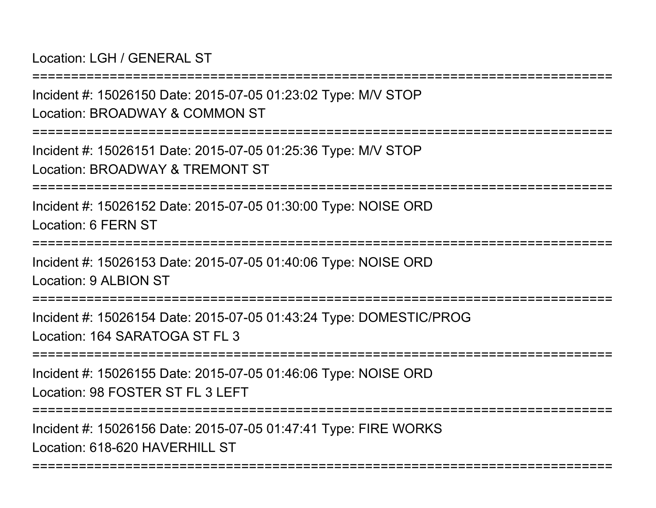Location: LGH / GENERAL ST

===========================================================================Incident #: 15026150 Date: 2015-07-05 01:23:02 Type: M/V STOPLocation: BROADWAY & COMMON ST===========================================================================Incident #: 15026151 Date: 2015-07-05 01:25:36 Type: M/V STOPLocation: BROADWAY & TREMONT ST===========================================================================Incident #: 15026152 Date: 2015-07-05 01:30:00 Type: NOISE ORDLocation: 6 FERN ST================ Incident #: 15026153 Date: 2015-07-05 01:40:06 Type: NOISE ORDLocation: 9 ALBION ST===========================================================================Incident #: 15026154 Date: 2015-07-05 01:43:24 Type: DOMESTIC/PROGLocation: 164 SARATOGA ST FL 3 ===========================================================================Incident #: 15026155 Date: 2015-07-05 01:46:06 Type: NOISE ORDLocation: 98 FOSTER ST FL 3 LEFT ===========================================================================Incident #: 15026156 Date: 2015-07-05 01:47:41 Type: FIRE WORKSLocation: 618-620 HAVERHILL ST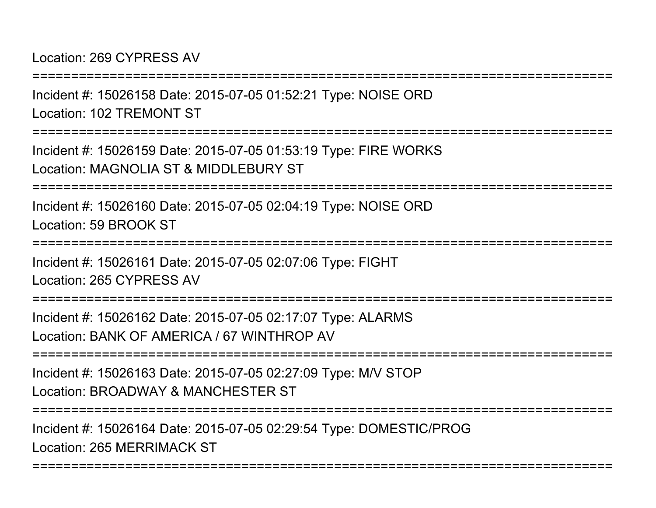Location: 269 CYPRESS AV

===========================================================================Incident #: 15026158 Date: 2015-07-05 01:52:21 Type: NOISE ORDLocation: 102 TREMONT ST===========================================================================Incident #: 15026159 Date: 2015-07-05 01:53:19 Type: FIRE WORKSLocation: MAGNOLIA ST & MIDDLEBURY ST===========================================================================Incident #: 15026160 Date: 2015-07-05 02:04:19 Type: NOISE ORDLocation: 59 BROOK ST===========================================================================Incident #: 15026161 Date: 2015-07-05 02:07:06 Type: FIGHTLocation: 265 CYPRESS AV===========================================================================Incident #: 15026162 Date: 2015-07-05 02:17:07 Type: ALARMSLocation: BANK OF AMERICA / 67 WINTHROP AV===========================================================================Incident #: 15026163 Date: 2015-07-05 02:27:09 Type: M/V STOPLocation: BROADWAY & MANCHESTER ST===========================================================================Incident #: 15026164 Date: 2015-07-05 02:29:54 Type: DOMESTIC/PROGLocation: 265 MERRIMACK ST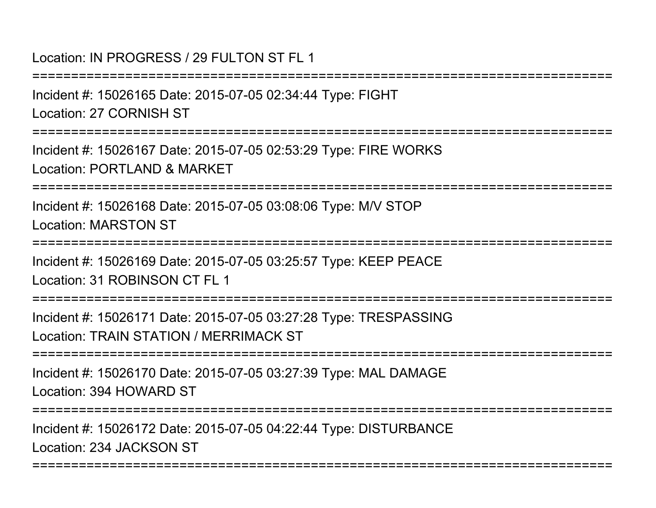Location: IN PROGRESS / 29 FULTON ST FL 1

===========================================================================Incident #: 15026165 Date: 2015-07-05 02:34:44 Type: FIGHTLocation: 27 CORNISH ST===========================================================================Incident #: 15026167 Date: 2015-07-05 02:53:29 Type: FIRE WORKSLocation: PORTLAND & MARKET===========================================================================Incident #: 15026168 Date: 2015-07-05 03:08:06 Type: M/V STOPLocation: MARSTON ST===========================================================================Incident #: 15026169 Date: 2015-07-05 03:25:57 Type: KEEP PEACELocation: 31 ROBINSON CT FL 1 ===========================================================================Incident #: 15026171 Date: 2015-07-05 03:27:28 Type: TRESPASSINGLocation: TRAIN STATION / MERRIMACK ST===========================================================================Incident #: 15026170 Date: 2015-07-05 03:27:39 Type: MAL DAMAGELocation: 394 HOWARD ST===========================================================================Incident #: 15026172 Date: 2015-07-05 04:22:44 Type: DISTURBANCELocation: 234 JACKSON ST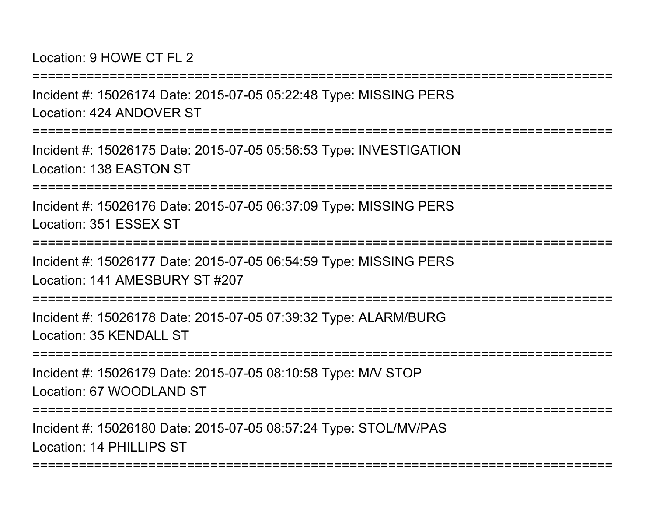Location: 9 HOWE CT FL 2

Incident #: 15026174 Date: 2015-07-05 05:22:48 Type: MISSING PERSLocation: 424 ANDOVER ST

===========================================================================

===========================================================================

Incident #: 15026175 Date: 2015-07-05 05:56:53 Type: INVESTIGATIONLocation: 138 EASTON ST

===========================================================================

Incident #: 15026176 Date: 2015-07-05 06:37:09 Type: MISSING PERSLocation: 351 ESSEX ST

===========================================================================

Incident #: 15026177 Date: 2015-07-05 06:54:59 Type: MISSING PERSLocation: 141 AMESBURY ST #207

===========================================================================

Incident #: 15026178 Date: 2015-07-05 07:39:32 Type: ALARM/BURGLocation: 35 KENDALL ST

===========================================================================

Incident #: 15026179 Date: 2015-07-05 08:10:58 Type: M/V STOPLocation: 67 WOODLAND ST

===========================================================================

===========================================================================

Incident #: 15026180 Date: 2015-07-05 08:57:24 Type: STOL/MV/PASLocation: 14 PHILLIPS ST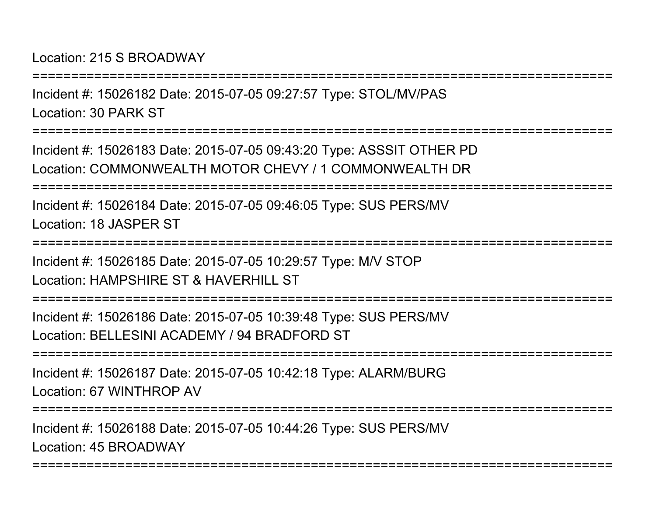Location: 215 S BROADWAY

===========================================================================Incident #: 15026182 Date: 2015-07-05 09:27:57 Type: STOL/MV/PASLocation: 30 PARK ST===========================================================================Incident #: 15026183 Date: 2015-07-05 09:43:20 Type: ASSSIT OTHER PD Location: COMMONWEALTH MOTOR CHEVY / 1 COMMONWEALTH DR===========================================================================Incident #: 15026184 Date: 2015-07-05 09:46:05 Type: SUS PERS/MVLocation: 18 JASPER ST===========================================================================Incident #: 15026185 Date: 2015-07-05 10:29:57 Type: M/V STOPLocation: HAMPSHIRF ST & HAVERHILL ST ===========================================================================Incident #: 15026186 Date: 2015-07-05 10:39:48 Type: SUS PERS/MVLocation: BELLESINI ACADEMY / 94 BRADFORD ST===========================================================================Incident #: 15026187 Date: 2015-07-05 10:42:18 Type: ALARM/BURGLocation: 67 WINTHROP AV===========================================================================Incident #: 15026188 Date: 2015-07-05 10:44:26 Type: SUS PERS/MV

===========================================================================

Location: 45 BROADWAY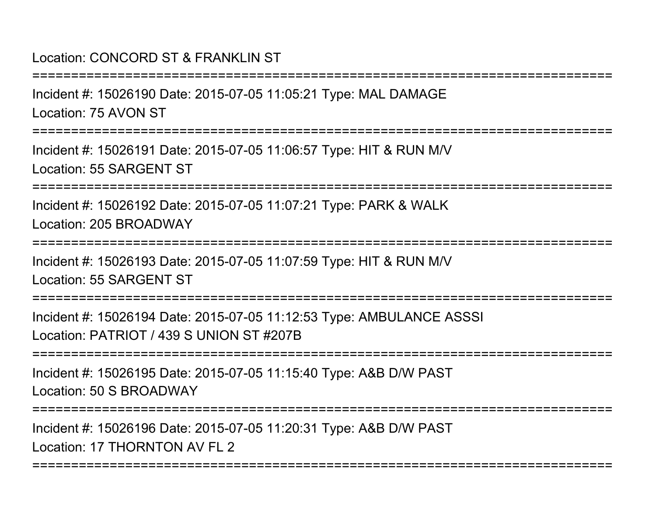# Location: CONCORD ST & FRANKLIN ST

Incident #: 15026190 Date: 2015-07-05 11:05:21 Type: MAL DAMAGELocation: 75 AVON ST

===========================================================================

===========================================================================

Incident #: 15026191 Date: 2015-07-05 11:06:57 Type: HIT & RUN M/VLocation: 55 SARGENT ST

===========================================================================

Incident #: 15026192 Date: 2015-07-05 11:07:21 Type: PARK & WALKLocation: 205 BROADWAY

===========================================================================

Incident #: 15026193 Date: 2015-07-05 11:07:59 Type: HIT & RUN M/VLocation: 55 SARGENT ST

===========================================================================

Incident #: 15026194 Date: 2015-07-05 11:12:53 Type: AMBULANCE ASSSILocation: PATRIOT / 439 S UNION ST #207B

===========================================================================

Incident #: 15026195 Date: 2015-07-05 11:15:40 Type: A&B D/W PASTLocation: 50 S BROADWAY

===========================================================================

===========================================================================

Incident #: 15026196 Date: 2015-07-05 11:20:31 Type: A&B D/W PASTLocation: 17 THORNTON AV FL 2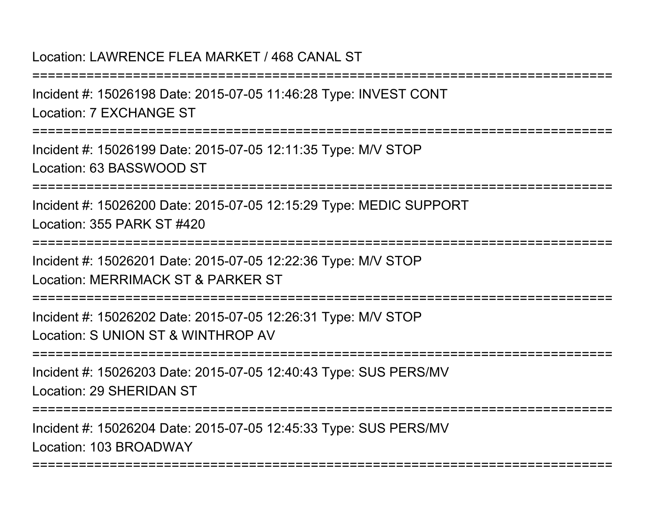### Location: LAWRENCE FLEA MARKET / 468 CANAL ST

Incident #: 15026198 Date: 2015-07-05 11:46:28 Type: INVEST CONTLocation: 7 EXCHANGE ST

===========================================================================

===========================================================================

Incident #: 15026199 Date: 2015-07-05 12:11:35 Type: M/V STOPLocation: 63 BASSWOOD ST

===========================================================================

Incident #: 15026200 Date: 2015-07-05 12:15:29 Type: MEDIC SUPPORTLocation: 355 PARK ST #420

===========================================================================

Incident #: 15026201 Date: 2015-07-05 12:22:36 Type: M/V STOPLocation: MERRIMACK ST & PARKER ST

===========================================================================

Incident #: 15026202 Date: 2015-07-05 12:26:31 Type: M/V STOPLocation: S UNION ST & WINTHROP AV

===========================================================================

Incident #: 15026203 Date: 2015-07-05 12:40:43 Type: SUS PERS/MVLocation: 29 SHERIDAN ST

===========================================================================

===========================================================================

Incident #: 15026204 Date: 2015-07-05 12:45:33 Type: SUS PERS/MVLocation: 103 BROADWAY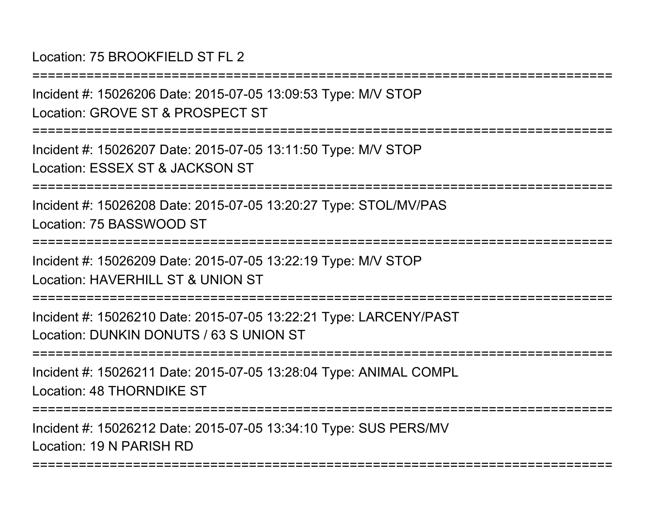Location: 75 BROOKFIFLD ST FL 2

===========================================================================Incident #: 15026206 Date: 2015-07-05 13:09:53 Type: M/V STOPLocation: GROVE ST & PROSPECT ST

===========================================================================

Incident #: 15026207 Date: 2015-07-05 13:11:50 Type: M/V STOPLocation: ESSEX ST & JACKSON ST

===========================================================================

Incident #: 15026208 Date: 2015-07-05 13:20:27 Type: STOL/MV/PASLocation: 75 BASSWOOD ST

===========================================================================

Incident #: 15026209 Date: 2015-07-05 13:22:19 Type: M/V STOPLocation: HAVERHILL ST & UNION ST

===========================================================================

Incident #: 15026210 Date: 2015-07-05 13:22:21 Type: LARCENY/PASTLocation: DUNKIN DONUTS / 63 S UNION ST

===========================================================================

Incident #: 15026211 Date: 2015-07-05 13:28:04 Type: ANIMAL COMPLLocation: 48 THORNDIKE ST

===========================================================================

===========================================================================

Incident #: 15026212 Date: 2015-07-05 13:34:10 Type: SUS PERS/MVLocation: 19 N PARISH RD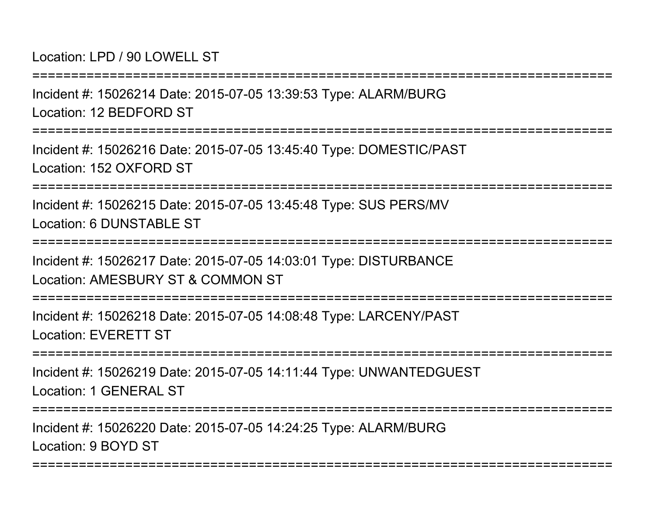Location: LPD / 90 LOWELL ST

Incident #: 15026214 Date: 2015-07-05 13:39:53 Type: ALARM/BURGLocation: 12 BEDFORD ST

===========================================================================

===========================================================================

Incident #: 15026216 Date: 2015-07-05 13:45:40 Type: DOMESTIC/PASTLocation: 152 OXFORD ST

===========================================================================

Incident #: 15026215 Date: 2015-07-05 13:45:48 Type: SUS PERS/MVLocation: 6 DUNSTABLE ST

===========================================================================

Incident #: 15026217 Date: 2015-07-05 14:03:01 Type: DISTURBANCELocation: AMESBURY ST & COMMON ST

===========================================================================

Incident #: 15026218 Date: 2015-07-05 14:08:48 Type: LARCENY/PASTLocation: EVERETT ST

===========================================================================

Incident #: 15026219 Date: 2015-07-05 14:11:44 Type: UNWANTEDGUESTLocation: 1 GENERAL ST

===========================================================================

===========================================================================

Incident #: 15026220 Date: 2015-07-05 14:24:25 Type: ALARM/BURGLocation: 9 BOYD ST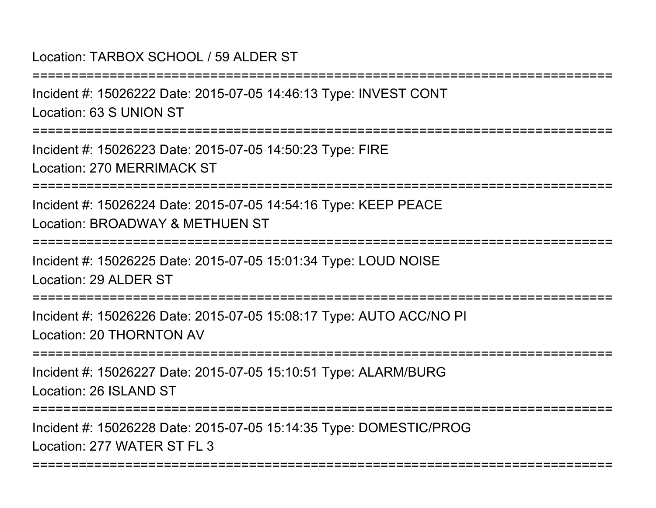Location: TARBOX SCHOOL / 59 ALDER ST

===========================================================================Incident #: 15026222 Date: 2015-07-05 14:46:13 Type: INVEST CONTLocation: 63 S UNION ST============== Incident #: 15026223 Date: 2015-07-05 14:50:23 Type: FIRELocation: 270 MERRIMACK ST===========================================================================Incident #: 15026224 Date: 2015-07-05 14:54:16 Type: KEEP PEACELocation: BROADWAY & METHUEN ST===========================================================================Incident #: 15026225 Date: 2015-07-05 15:01:34 Type: LOUD NOISELocation: 29 ALDER ST=================== Incident #: 15026226 Date: 2015-07-05 15:08:17 Type: AUTO ACC/NO PILocation: 20 THORNTON AV===========================================================================Incident #: 15026227 Date: 2015-07-05 15:10:51 Type: ALARM/BURGLocation: 26 ISLAND ST

===========================================================================

===========================================================================

Incident #: 15026228 Date: 2015-07-05 15:14:35 Type: DOMESTIC/PROGLocation: 277 WATER ST FL 3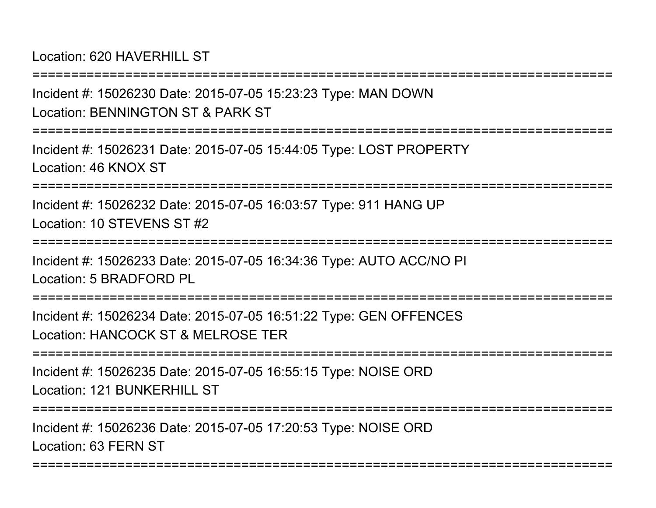Location: 620 HAVERHILL ST

Incident #: 15026230 Date: 2015-07-05 15:23:23 Type: MAN DOWNLocation: BENNINGTON ST & PARK ST

===========================================================================

===========================================================================

Incident #: 15026231 Date: 2015-07-05 15:44:05 Type: LOST PROPERTYLocation: 46 KNOX ST

===========================================================================

Incident #: 15026232 Date: 2015-07-05 16:03:57 Type: 911 HANG UPLocation: 10 STEVENS ST #2

===========================================================================

Incident #: 15026233 Date: 2015-07-05 16:34:36 Type: AUTO ACC/NO PILocation: 5 BRADFORD PL

====================

Incident #: 15026234 Date: 2015-07-05 16:51:22 Type: GEN OFFENCESLocation: HANCOCK ST & MELROSE TER

===========================================================================

Incident #: 15026235 Date: 2015-07-05 16:55:15 Type: NOISE ORDLocation: 121 BUNKERHILL ST

===========================================================================

===========================================================================

Incident #: 15026236 Date: 2015-07-05 17:20:53 Type: NOISE ORDLocation: 63 FERN ST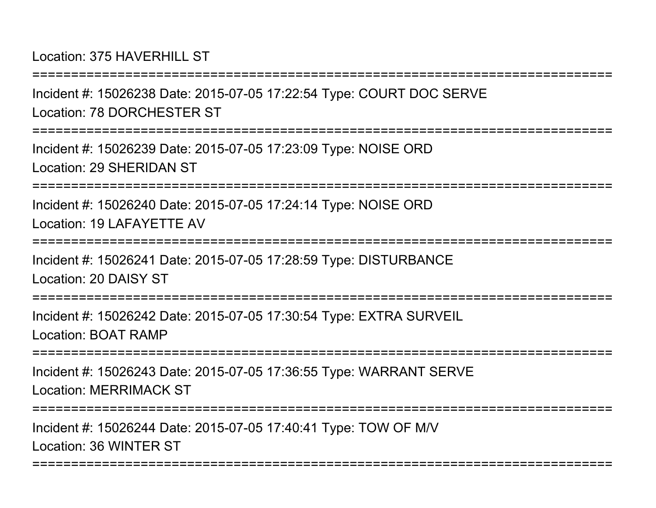Location: 375 HAVERHILL ST

===========================================================================Incident #: 15026238 Date: 2015-07-05 17:22:54 Type: COURT DOC SERVE

Location: 78 DORCHESTER ST

===========================================================================

Incident #: 15026239 Date: 2015-07-05 17:23:09 Type: NOISE ORDLocation: 29 SHERIDAN ST

===========================================================================

Incident #: 15026240 Date: 2015-07-05 17:24:14 Type: NOISE ORDLocation: 19 LAFAYETTE AV

===========================================================================

Incident #: 15026241 Date: 2015-07-05 17:28:59 Type: DISTURBANCELocation: 20 DAISY ST

===========================================================================

Incident #: 15026242 Date: 2015-07-05 17:30:54 Type: EXTRA SURVEILLocation: BOAT RAMP

**=============** 

Incident #: 15026243 Date: 2015-07-05 17:36:55 Type: WARRANT SERVELocation: MERRIMACK ST

===========================================================================

===========================================================================

Incident #: 15026244 Date: 2015-07-05 17:40:41 Type: TOW OF M/VLocation: 36 WINTER ST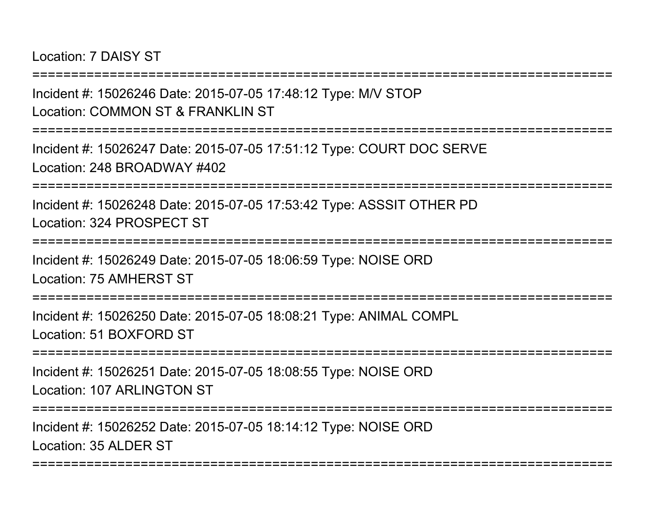Location: 7 DAISY ST

===========================================================================

Incident #: 15026246 Date: 2015-07-05 17:48:12 Type: M/V STOPLocation: COMMON ST & FRANKLIN ST

===========================================================================

Incident #: 15026247 Date: 2015-07-05 17:51:12 Type: COURT DOC SERVELocation: 248 BROADWAY #402

===========================================================================

Incident #: 15026248 Date: 2015-07-05 17:53:42 Type: ASSSIT OTHER PDLocation: 324 PROSPECT ST

===========================================================================

Incident #: 15026249 Date: 2015-07-05 18:06:59 Type: NOISE ORDLocation: 75 AMHERST ST

====================

Incident #: 15026250 Date: 2015-07-05 18:08:21 Type: ANIMAL COMPLLocation: 51 BOXFORD ST

===========================================================================

Incident #: 15026251 Date: 2015-07-05 18:08:55 Type: NOISE ORDLocation: 107 ARLINGTON ST

===========================================================================

===========================================================================

Incident #: 15026252 Date: 2015-07-05 18:14:12 Type: NOISE ORDLocation: 35 ALDER ST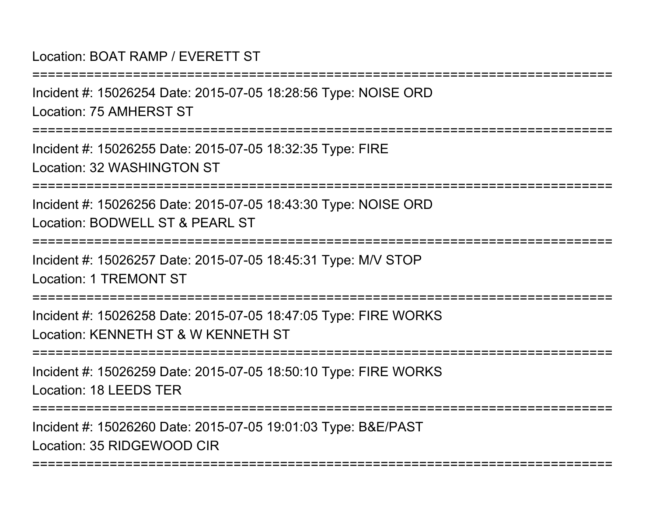# Location: BOAT RAMP / EVERETT ST

===========================================================================Incident #: 15026254 Date: 2015-07-05 18:28:56 Type: NOISE ORDLocation: 75 AMHERST ST===========================================================================Incident #: 15026255 Date: 2015-07-05 18:32:35 Type: FIRELocation: 32 WASHINGTON ST===========================================================================Incident #: 15026256 Date: 2015-07-05 18:43:30 Type: NOISE ORDLocation: BODWELL ST & PEARL ST ===========================================================================Incident #: 15026257 Date: 2015-07-05 18:45:31 Type: M/V STOPLocation: 1 TREMONT ST===========================================================================Incident #: 15026258 Date: 2015-07-05 18:47:05 Type: FIRE WORKSLocation: KENNETH ST & W KENNETH ST===========================================================================Incident #: 15026259 Date: 2015-07-05 18:50:10 Type: FIRE WORKSLocation: 18 LEEDS TER===========================================================================Incident #: 15026260 Date: 2015-07-05 19:01:03 Type: B&E/PAST

===========================================================================

Location: 35 RIDGEWOOD CIR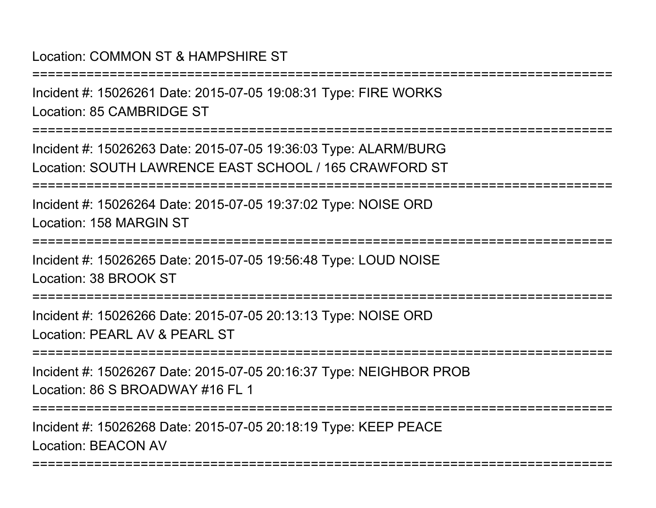# Location: COMMON ST & HAMPSHIRE ST

===========================================================================Incident #: 15026261 Date: 2015-07-05 19:08:31 Type: FIRE WORKSLocation: 85 CAMBRIDGE ST===========================================================================Incident #: 15026263 Date: 2015-07-05 19:36:03 Type: ALARM/BURG Location: SOUTH LAWRENCE EAST SCHOOL / 165 CRAWFORD ST===========================================================================Incident #: 15026264 Date: 2015-07-05 19:37:02 Type: NOISE ORDLocation: 158 MARGIN ST===========================================================================Incident #: 15026265 Date: 2015-07-05 19:56:48 Type: LOUD NOISELocation: 38 BROOK ST**===============** Incident #: 15026266 Date: 2015-07-05 20:13:13 Type: NOISE ORDLocation: PEARL AV & PEARL ST===========================================================================Incident #: 15026267 Date: 2015-07-05 20:16:37 Type: NEIGHBOR PROBLocation: 86 S BROADWAY #16 FL 1===========================================================================Incident #: 15026268 Date: 2015-07-05 20:18:19 Type: KEEP PEACELocation: BEACON AV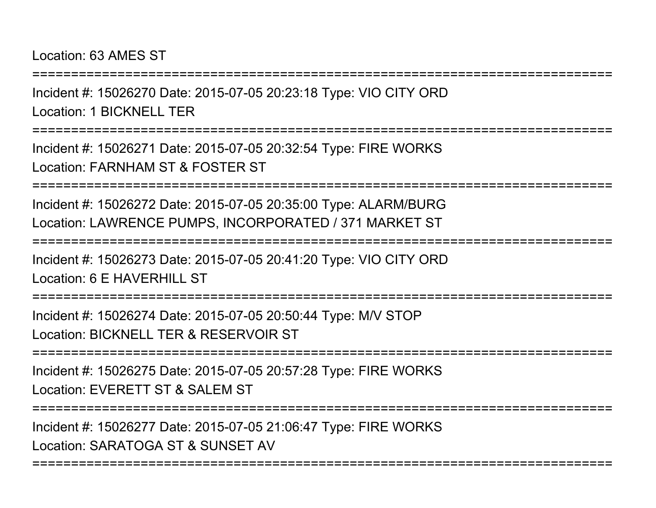#### Location: 63 AMES ST

Incident #: 15026270 Date: 2015-07-05 20:23:18 Type: VIO CITY ORDLocation: 1 BICKNELL TER

===========================================================================

===========================================================================

Incident #: 15026271 Date: 2015-07-05 20:32:54 Type: FIRE WORKSLocation: FARNHAM ST & FOSTER ST

===========================================================================

Incident #: 15026272 Date: 2015-07-05 20:35:00 Type: ALARM/BURGLocation: LAWRENCE PUMPS, INCORPORATED / 371 MARKET ST

```
===========================================================================
```
Incident #: 15026273 Date: 2015-07-05 20:41:20 Type: VIO CITY ORDLocation: 6 F HAVERHILL ST

===========================================================================

Incident #: 15026274 Date: 2015-07-05 20:50:44 Type: M/V STOPLocation: BICKNELL TER & RESERVOIR ST

===========================================================================

Incident #: 15026275 Date: 2015-07-05 20:57:28 Type: FIRE WORKSLocation: EVERETT ST & SALEM ST

===========================================================================

===========================================================================

Incident #: 15026277 Date: 2015-07-05 21:06:47 Type: FIRE WORKSLocation: SARATOGA ST & SUNSET AV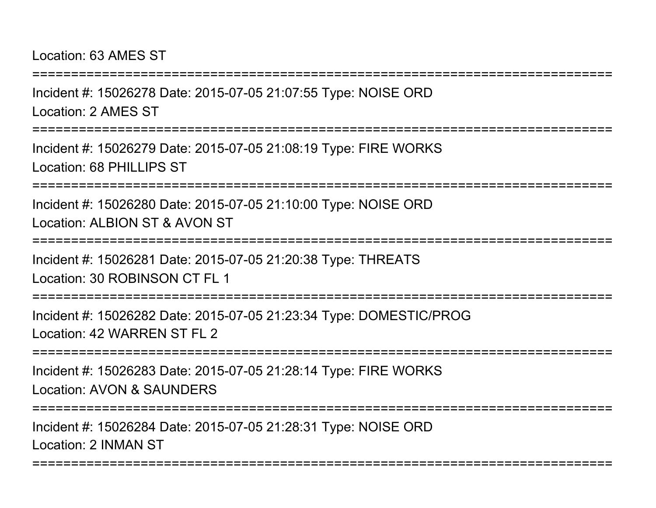#### Location: 63 AMES ST

Incident #: 15026278 Date: 2015-07-05 21:07:55 Type: NOISE ORDLocation: 2 AMES ST

===========================================================================

===========================================================================

Incident #: 15026279 Date: 2015-07-05 21:08:19 Type: FIRE WORKSLocation: 68 PHILLIPS ST

===========================================================================

Incident #: 15026280 Date: 2015-07-05 21:10:00 Type: NOISE ORDLocation: ALBION ST & AVON ST

===========================================================================

Incident #: 15026281 Date: 2015-07-05 21:20:38 Type: THREATSLocation: 30 ROBINSON CT FL 1

===========================================================================

Incident #: 15026282 Date: 2015-07-05 21:23:34 Type: DOMESTIC/PROGLocation: 42 WARREN ST FL 2

===========================================================================

Incident #: 15026283 Date: 2015-07-05 21:28:14 Type: FIRE WORKSLocation: AVON & SAUNDERS

===========================================================================

===========================================================================

Incident #: 15026284 Date: 2015-07-05 21:28:31 Type: NOISE ORDLocation: 2 INMAN ST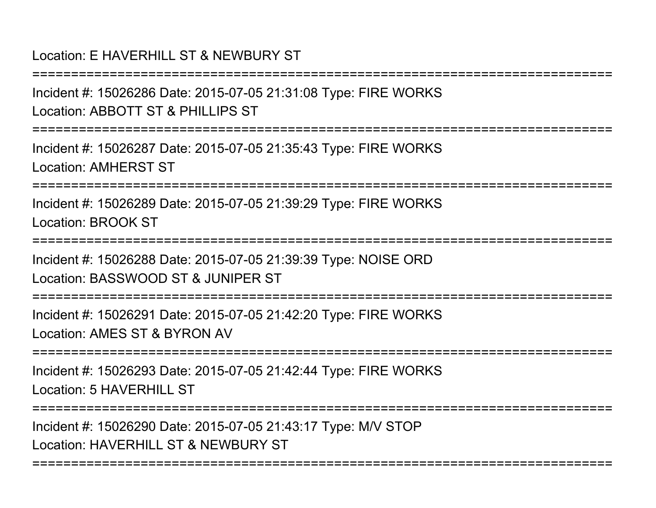# Location: E HAVERHILL ST & NEWBURY ST

Incident #: 15026286 Date: 2015-07-05 21:31:08 Type: FIRE WORKSLocation: ABBOTT ST & PHILLIPS ST

===========================================================================

===========================================================================

Incident #: 15026287 Date: 2015-07-05 21:35:43 Type: FIRE WORKSLocation: AMHERST ST

===========================================================================

Incident #: 15026289 Date: 2015-07-05 21:39:29 Type: FIRE WORKSLocation: BROOK ST

===========================================================================

Incident #: 15026288 Date: 2015-07-05 21:39:39 Type: NOISE ORDLocation: BASSWOOD ST & JUNIPER ST

===========================================================================

Incident #: 15026291 Date: 2015-07-05 21:42:20 Type: FIRE WORKSLocation: AMES ST & BYRON AV

===========================================================================

Incident #: 15026293 Date: 2015-07-05 21:42:44 Type: FIRE WORKSLocation: 5 HAVERHILL ST

===========================================================================

===========================================================================

Incident #: 15026290 Date: 2015-07-05 21:43:17 Type: M/V STOPLocation: HAVERHILL ST & NEWBURY ST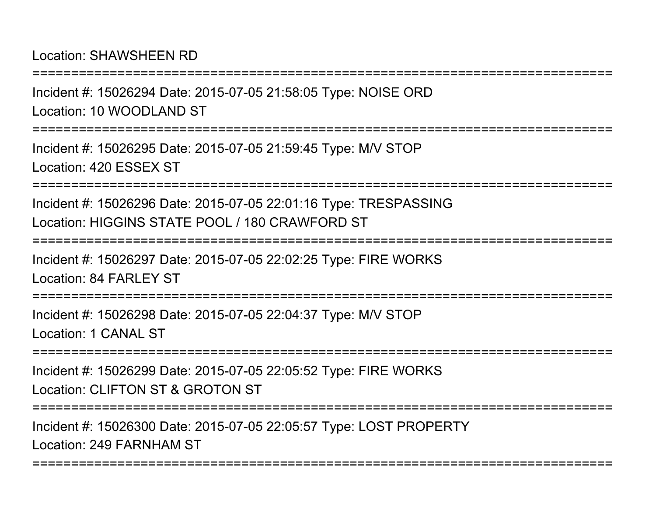Location: SHAWSHEEN RD

Incident #: 15026294 Date: 2015-07-05 21:58:05 Type: NOISE ORDLocation: 10 WOODLAND ST

===========================================================================

===========================================================================

Incident #: 15026295 Date: 2015-07-05 21:59:45 Type: M/V STOPLocation: 420 ESSEX ST

===========================================================================

Incident #: 15026296 Date: 2015-07-05 22:01:16 Type: TRESPASSINGLocation: HIGGINS STATE POOL / 180 CRAWFORD ST

===========================================================================

Incident #: 15026297 Date: 2015-07-05 22:02:25 Type: FIRE WORKSLocation: 84 FARLEY ST

===========================================================================

Incident #: 15026298 Date: 2015-07-05 22:04:37 Type: M/V STOPLocation: 1 CANAL ST

===========================================================================

Incident #: 15026299 Date: 2015-07-05 22:05:52 Type: FIRE WORKSLocation: CLIFTON ST & GROTON ST

===========================================================================

===========================================================================

Incident #: 15026300 Date: 2015-07-05 22:05:57 Type: LOST PROPERTYLocation: 249 FARNHAM ST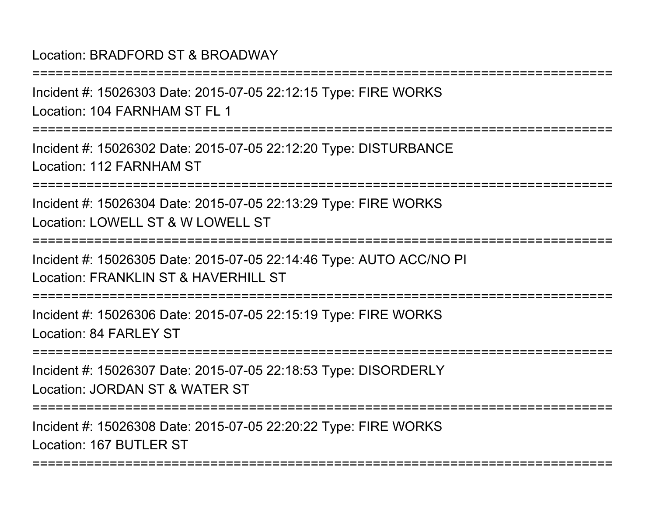### Location: BRADFORD ST & BROADWAY

Incident #: 15026303 Date: 2015-07-05 22:12:15 Type: FIRE WORKSLocation: 104 FARNHAM ST FL 1

===========================================================================

===========================================================================

Incident #: 15026302 Date: 2015-07-05 22:12:20 Type: DISTURBANCELocation: 112 FARNHAM ST

===========================================================================

Incident #: 15026304 Date: 2015-07-05 22:13:29 Type: FIRE WORKSLocation: LOWELL ST & W LOWELL ST

===========================================================================

Incident #: 15026305 Date: 2015-07-05 22:14:46 Type: AUTO ACC/NO PILocation: FRANKLIN ST & HAVERHILL ST

===========================================================================

Incident #: 15026306 Date: 2015-07-05 22:15:19 Type: FIRE WORKSLocation: 84 FARLEY ST

===========================================================================

Incident #: 15026307 Date: 2015-07-05 22:18:53 Type: DISORDERLYLocation: JORDAN ST & WATER ST

===========================================================================

===========================================================================

Incident #: 15026308 Date: 2015-07-05 22:20:22 Type: FIRE WORKSLocation: 167 BUTLER ST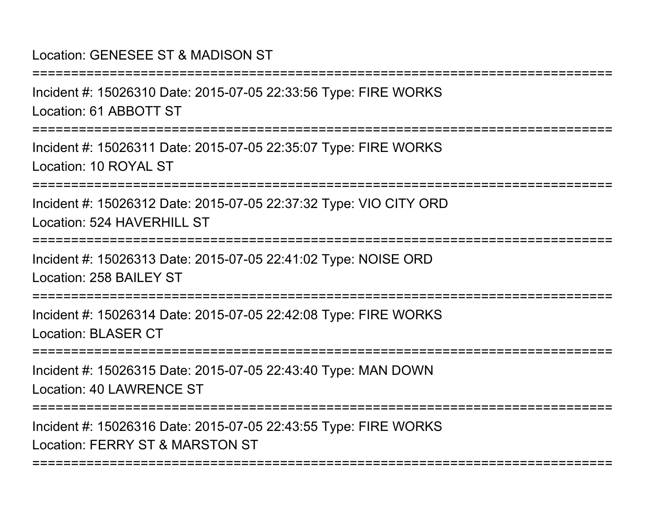#### Location: GENESEE ST & MADISON ST

Incident #: 15026310 Date: 2015-07-05 22:33:56 Type: FIRE WORKSLocation: 61 ABBOTT ST

===========================================================================

===========================================================================

Incident #: 15026311 Date: 2015-07-05 22:35:07 Type: FIRE WORKSLocation: 10 ROYAL ST

===========================================================================

Incident #: 15026312 Date: 2015-07-05 22:37:32 Type: VIO CITY ORDLocation: 524 HAVERHILL ST

===========================================================================

Incident #: 15026313 Date: 2015-07-05 22:41:02 Type: NOISE ORDLocation: 258 BAILEY ST

===========================================================================

Incident #: 15026314 Date: 2015-07-05 22:42:08 Type: FIRE WORKSLocation: BLASER CT

===========================================================================

Incident #: 15026315 Date: 2015-07-05 22:43:40 Type: MAN DOWNLocation: 40 LAWRENCE ST

===========================================================================

===========================================================================

Incident #: 15026316 Date: 2015-07-05 22:43:55 Type: FIRE WORKSLocation: FERRY ST & MARSTON ST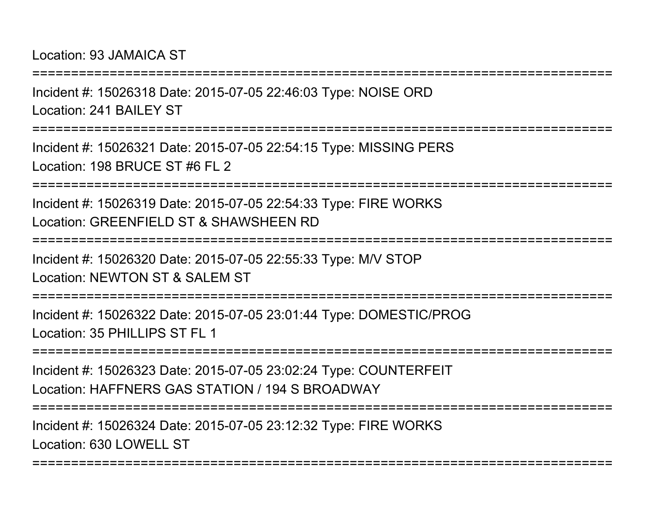Incident #: 15026318 Date: 2015-07-05 22:46:03 Type: NOISE ORDLocation: 241 BAILEY ST

===========================================================================

===========================================================================

Incident #: 15026321 Date: 2015-07-05 22:54:15 Type: MISSING PERSLocation: 198 BRUCE ST #6 FL 2

===========================================================================

Incident #: 15026319 Date: 2015-07-05 22:54:33 Type: FIRE WORKSLocation: GREENFIELD ST & SHAWSHEEN RD

===========================================================================

Incident #: 15026320 Date: 2015-07-05 22:55:33 Type: M/V STOP

Location: NEWTON ST & SALEM ST

===========================================================================

Incident #: 15026322 Date: 2015-07-05 23:01:44 Type: DOMESTIC/PROGLocation: 35 PHILLIPS ST FL 1

====================

Incident #: 15026323 Date: 2015-07-05 23:02:24 Type: COUNTERFEITLocation: HAFFNERS GAS STATION / 194 S BROADWAY

===========================================================================

Incident #: 15026324 Date: 2015-07-05 23:12:32 Type: FIRE WORKSLocation: 630 LOWELL ST